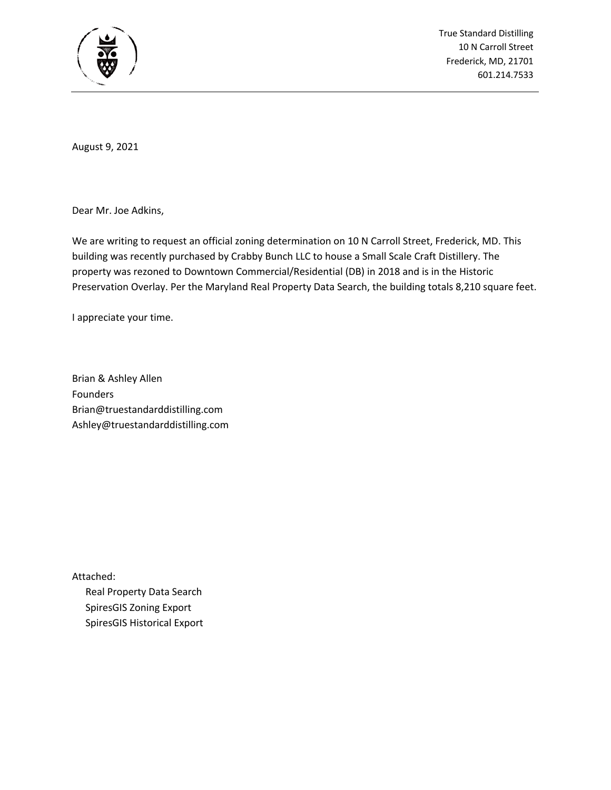

True Standard Distilling 10 N Carroll Street Frederick, MD, 21701 601.214.7533

August 9, 2021

Dear Mr. Joe Adkins,

We are writing to request an official zoning determination on 10 N Carroll Street, Frederick, MD. This building was recently purchased by Crabby Bunch LLC to house a Small Scale Craft Distillery. The property was rezoned to Downtown Commercial/Residential (DB) in 2018 and is in the Historic Preservation Overlay. Per the Maryland Real Property Data Search, the building totals 8,210 square feet.

I appreciate your time.

Brian & Ashley Allen Founders Brian@truestandarddistilling.com Ashley@truestandarddistilling.com

Attached: Real Property Data Search SpiresGIS Zoning Export SpiresGIS Historical Export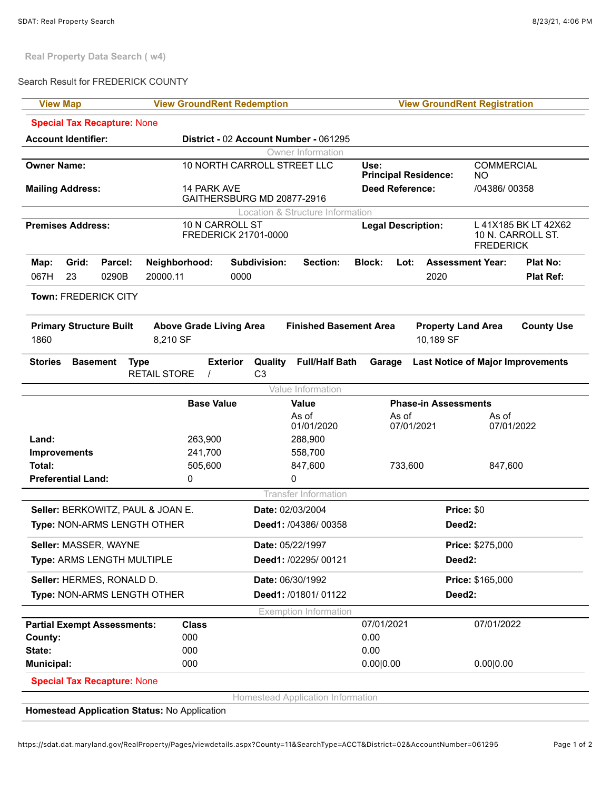**Real Property Data Search ( w4)**

## Search Result for FREDERICK COUNTY

| <b>View Map</b>                                  | <b>View GroundRent Redemption</b><br><b>View GroundRent Registration</b> |                                                    |                                        |                                                                |  |
|--------------------------------------------------|--------------------------------------------------------------------------|----------------------------------------------------|----------------------------------------|----------------------------------------------------------------|--|
| <b>Special Tax Recapture: None</b>               |                                                                          |                                                    |                                        |                                                                |  |
| <b>Account Identifier:</b>                       |                                                                          | District - 02 Account Number - 061295              |                                        |                                                                |  |
| Owner Information                                |                                                                          |                                                    |                                        |                                                                |  |
| <b>Owner Name:</b>                               |                                                                          | 10 NORTH CARROLL STREET LLC                        | Use:<br><b>Principal Residence:</b>    | <b>COMMERCIAL</b><br>NO.                                       |  |
| <b>Mailing Address:</b>                          | 14 PARK AVE                                                              | GAITHERSBURG MD 20877-2916                         | <b>Deed Reference:</b>                 | /04386/00358                                                   |  |
| Location & Structure Information                 |                                                                          |                                                    |                                        |                                                                |  |
| <b>Premises Address:</b>                         | 10 N CARROLL ST<br>FREDERICK 21701-0000                                  |                                                    | <b>Legal Description:</b>              | L 41X185 BK LT 42X62<br>10 N. CARROLL ST.<br><b>FREDERICK</b>  |  |
| Grid:<br>Parcel:<br>Map:<br>23<br>0290B<br>067H  | Neighborhood:<br>0000<br>20000.11                                        | Subdivision:<br><b>Section:</b>                    | <b>Block:</b><br>Lot:<br>2020          | <b>Assessment Year:</b><br><b>Plat No:</b><br><b>Plat Ref:</b> |  |
| Town: FREDERICK CITY                             |                                                                          |                                                    |                                        |                                                                |  |
| <b>Primary Structure Built</b><br>1860           | <b>Above Grade Living Area</b><br>8,210 SF                               | <b>Finished Basement Area</b>                      | <b>Property Land Area</b><br>10,189 SF | <b>County Use</b>                                              |  |
| <b>Stories</b><br><b>Basement</b><br><b>Type</b> | <b>Exterior</b><br><b>RETAIL STORE</b><br>$\prime$                       | <b>Full/Half Bath</b><br>Quality<br>C <sub>3</sub> | Garage                                 | <b>Last Notice of Major Improvements</b>                       |  |
| Value Information                                |                                                                          |                                                    |                                        |                                                                |  |
|                                                  | <b>Base Value</b><br>Value                                               |                                                    | <b>Phase-in Assessments</b>            |                                                                |  |
|                                                  |                                                                          | As of<br>01/01/2020                                | As of<br>07/01/2021                    | As of<br>07/01/2022                                            |  |
| Land:                                            | 263,900                                                                  | 288,900                                            |                                        |                                                                |  |
| <b>Improvements</b>                              | 241,700                                                                  | 558,700                                            |                                        |                                                                |  |
| Total:                                           | 505,600                                                                  | 847,600                                            | 733,600                                | 847,600                                                        |  |
| <b>Preferential Land:</b>                        | 0                                                                        | 0                                                  |                                        |                                                                |  |
| <b>Transfer Information</b>                      |                                                                          |                                                    |                                        |                                                                |  |
| Seller: BERKOWITZ, PAUL & JOAN E.                |                                                                          | Date: 02/03/2004                                   |                                        | Price: \$0                                                     |  |
| Type: NON-ARMS LENGTH OTHER                      |                                                                          | Deed1: /04386/ 00358                               | Deed <sub>2</sub> :                    |                                                                |  |
| Seller: MASSER, WAYNE                            |                                                                          | Date: 05/22/1997                                   |                                        | Price: \$275,000                                               |  |
| Type: ARMS LENGTH MULTIPLE                       |                                                                          | Deed1: /02295/ 00121                               | Deed <sub>2</sub> :                    |                                                                |  |
| Seller: HERMES, RONALD D.                        |                                                                          | Date: 06/30/1992                                   |                                        | Price: \$165,000                                               |  |
| Type: NON-ARMS LENGTH OTHER                      |                                                                          | Deed1: /01801/01122                                | Deed <sub>2</sub> :                    |                                                                |  |
|                                                  |                                                                          | <b>Exemption Information</b>                       |                                        |                                                                |  |
| <b>Partial Exempt Assessments:</b>               | <b>Class</b>                                                             |                                                    | 07/01/2021                             | 07/01/2022                                                     |  |
| County:                                          | 000                                                                      |                                                    | 0.00                                   |                                                                |  |
| State:                                           | 000                                                                      |                                                    | 0.00                                   |                                                                |  |
| Municipal:                                       | 000                                                                      |                                                    | 0.00 0.00                              | 0.00 0.00                                                      |  |
| <b>Special Tax Recapture: None</b>               |                                                                          |                                                    |                                        |                                                                |  |
|                                                  |                                                                          | Homestead Application Information                  |                                        |                                                                |  |

**Homestead Application Status:** No Application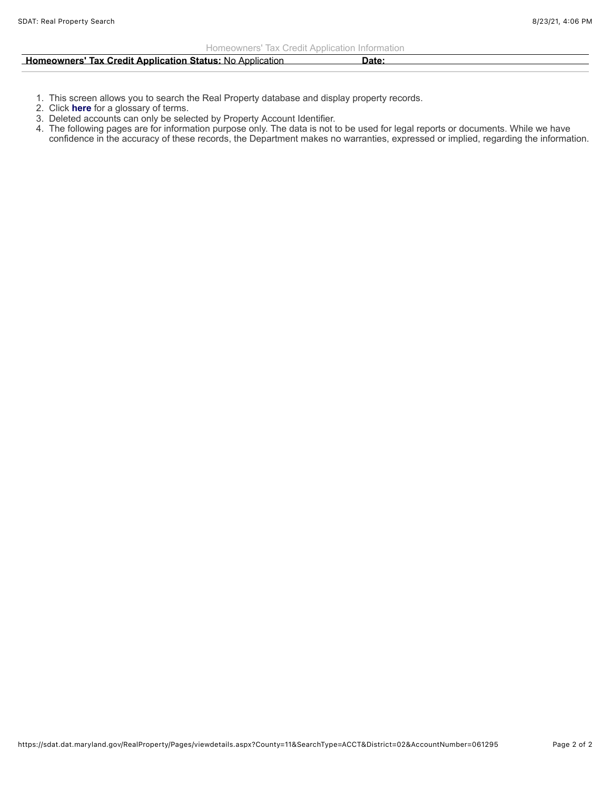| <b>Homeowners' Tax Credit Application Status: No Application</b>                                                       | Date: |
|------------------------------------------------------------------------------------------------------------------------|-------|
| <u> 1980 - Andreas Andreas Andreas Andreas Andreas Andreas Andreas Andreas Andreas Andreas Andreas Andreas Andreas</u> |       |

- 1. This screen allows you to search the Real Property database and display property records.
- 2. Click **here** for a glossary of terms.
- 3. Deleted accounts can only be selected by Property Account Identifier.
- 4. The following pages are for information purpose only. The data is not to be used for legal reports or documents. While we have confidence in the accuracy of these records, the Department makes no warranties, expressed or implied, regarding the information.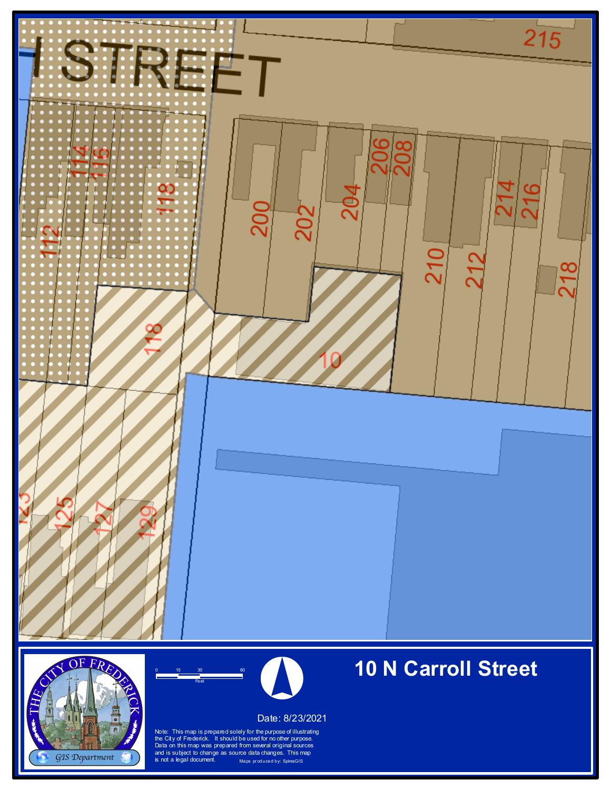





Date: 8/23/2021

Note: This map is prepared solely for the purpose of illustrating the City of Frederick. It should be used for no other purpose. Data on this map was prepared from several original sources and is subject to change as source data changes. This map<br>is not a legal document. Maps produced by: SpiresGIS